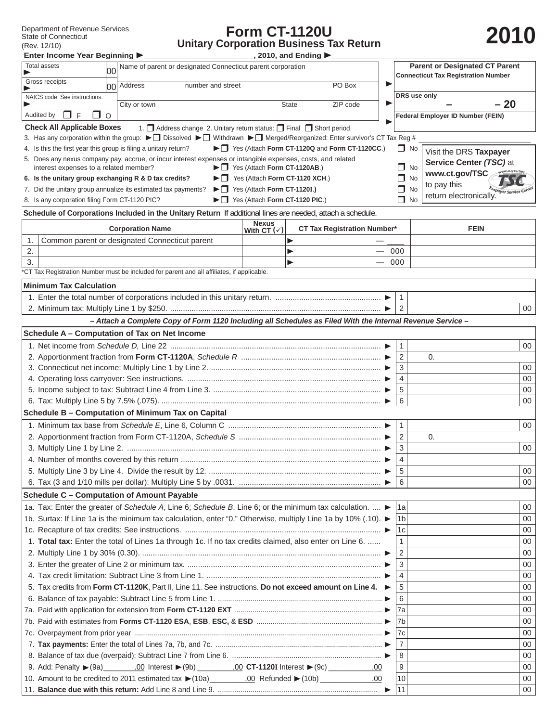Department of Revenue Services<br>State of Connecticut (Rev. 12/10)

## **Form CT-1120U** Department of Revenue Services<br>
State of Connecticut<br>
(Rev. 12/10) **2010** Unitary Corporation Business Tax Return

| 2010 |  |
|------|--|
|      |  |

| Enter Income Year Beginning                                                                                                                            |                                                                                                                          |                                                              | $\overline{a}$ , 2010, and Ending $\blacktriangleright$ |    |                     |                                          |          |  |
|--------------------------------------------------------------------------------------------------------------------------------------------------------|--------------------------------------------------------------------------------------------------------------------------|--------------------------------------------------------------|---------------------------------------------------------|----|---------------------|------------------------------------------|----------|--|
| <b>Total assets</b><br>იი                                                                                                                              | Name of parent or designated Connecticut parent corporation                                                              | <b>Parent or Designated CT Parent</b>                        |                                                         |    |                     |                                          |          |  |
| Gross receipts                                                                                                                                         | 00 Address<br>number and street                                                                                          |                                                              | <b>Connecticut Tax Registration Number</b>              |    |                     |                                          |          |  |
| NAICS code: See instructions.                                                                                                                          |                                                                                                                          |                                                              | DRS use only                                            |    |                     |                                          |          |  |
|                                                                                                                                                        | City or town                                                                                                             |                                                              | ZIP code<br><b>State</b>                                |    |                     |                                          | $-20$    |  |
| $\Box$ F<br>Audited by<br>$\circ$<br>$\mathsf{L}$                                                                                                      |                                                                                                                          |                                                              |                                                         |    |                     | <b>Federal Employer ID Number (FEIN)</b> |          |  |
| <b>Check All Applicable Boxes</b>                                                                                                                      | 1. Address change 2. Unitary return status: Final Short period                                                           |                                                              |                                                         |    |                     |                                          |          |  |
|                                                                                                                                                        | 3. Has any corporation within the group: ▶ Dissolved ▶ D Withdrawn ▶ D Merged/Reorganized: Enter survivor's CT Tax Reg # |                                                              | ▶ 1 Yes (Attach Form CT-1120Q and Form CT-1120CC.)      |    |                     |                                          |          |  |
| 4. Is this the first year this group is filing a unitary return?                                                                                       |                                                                                                                          | $\Box$ No                                                    | Visit the DRS Taxpayer                                  |    |                     |                                          |          |  |
| 5. Does any nexus company pay, accrue, or incur interest expenses or intangible expenses, costs, and related<br>interest expenses to a related member? |                                                                                                                          | $\Box$ No                                                    | Service Center (TSC) at                                 |    |                     |                                          |          |  |
| 6. Is the unitary group exchanging R & D tax credits?                                                                                                  |                                                                                                                          | $\Box$ No                                                    | www.ct.gov/TSC                                          |    |                     |                                          |          |  |
| 7. Did the unitary group annualize its estimated tax payments?                                                                                         |                                                                                                                          | $\Box$ No                                                    | to pay this                                             |    |                     |                                          |          |  |
| 8. Is any corporation filing Form CT-1120 PIC?                                                                                                         |                                                                                                                          | $\blacktriangleright \square$ Yes (Attach Form CT-1120 PIC.) |                                                         |    | $\Box$ No           | return electronically.                   |          |  |
|                                                                                                                                                        | Schedule of Corporations Included in the Unitary Return If additional lines are needed, attach a schedule.               |                                                              |                                                         |    |                     |                                          |          |  |
|                                                                                                                                                        | <b>Corporation Name</b>                                                                                                  | <b>Nexus</b><br>With CT $(\checkmark)$                       | <b>CT Tax Registration Number*</b>                      |    |                     | <b>FEIN</b>                              |          |  |
| 1.                                                                                                                                                     | Common parent or designated Connecticut parent                                                                           |                                                              |                                                         |    |                     |                                          |          |  |
| 2.                                                                                                                                                     |                                                                                                                          |                                                              |                                                         |    | 000                 |                                          |          |  |
| 3.                                                                                                                                                     |                                                                                                                          |                                                              |                                                         |    | 000                 |                                          |          |  |
|                                                                                                                                                        | "CT Tax Registration Number must be included for parent and all affiliates, if applicable.                               |                                                              |                                                         |    |                     |                                          |          |  |
| <b>Minimum Tax Calculation</b>                                                                                                                         |                                                                                                                          |                                                              |                                                         |    |                     |                                          |          |  |
|                                                                                                                                                        |                                                                                                                          |                                                              |                                                         |    | $\mathbf{1}$        |                                          |          |  |
|                                                                                                                                                        |                                                                                                                          |                                                              |                                                         |    | 2                   |                                          | 00       |  |
|                                                                                                                                                        | - Attach a Complete Copy of Form 1120 Including all Schedules as Filed With the Internal Revenue Service -               |                                                              |                                                         |    |                     |                                          |          |  |
| Schedule A - Computation of Tax on Net Income                                                                                                          |                                                                                                                          |                                                              |                                                         |    |                     |                                          |          |  |
|                                                                                                                                                        |                                                                                                                          |                                                              |                                                         |    | $\mathbf{1}$        |                                          | 00       |  |
|                                                                                                                                                        |                                                                                                                          |                                                              |                                                         |    | $\overline{2}$      | 0.                                       |          |  |
|                                                                                                                                                        |                                                                                                                          |                                                              |                                                         |    | 3<br>$\overline{4}$ |                                          | 00       |  |
|                                                                                                                                                        |                                                                                                                          |                                                              |                                                         |    |                     |                                          | 00       |  |
|                                                                                                                                                        |                                                                                                                          |                                                              |                                                         |    | 5                   |                                          | 00       |  |
|                                                                                                                                                        | 6                                                                                                                        |                                                              | 00                                                      |    |                     |                                          |          |  |
|                                                                                                                                                        | Schedule B - Computation of Minimum Tax on Capital                                                                       |                                                              |                                                         |    |                     |                                          |          |  |
|                                                                                                                                                        |                                                                                                                          |                                                              |                                                         |    | $\mathbf{1}$        |                                          | 00       |  |
|                                                                                                                                                        |                                                                                                                          |                                                              |                                                         |    |                     | 0.                                       |          |  |
|                                                                                                                                                        |                                                                                                                          |                                                              |                                                         | 3  |                     | $00\,$                                   |          |  |
|                                                                                                                                                        |                                                                                                                          |                                                              |                                                         |    | 4                   |                                          |          |  |
|                                                                                                                                                        |                                                                                                                          |                                                              |                                                         |    | 5<br>l 6            |                                          | 00<br>00 |  |
| Schedule C - Computation of Amount Payable                                                                                                             |                                                                                                                          |                                                              |                                                         |    |                     |                                          |          |  |
|                                                                                                                                                        | 1a. Tax: Enter the greater of Schedule A, Line 6; Schedule B, Line 6; or the minimum tax calculation.                    |                                                              |                                                         |    | 1a                  |                                          | 00       |  |
|                                                                                                                                                        |                                                                                                                          |                                                              |                                                         |    | l1b                 |                                          | 00       |  |
| 1b. Surtax: If Line 1a is the minimum tax calculation, enter "0." Otherwise, multiply Line 1a by 10% (.10). ►                                          |                                                                                                                          |                                                              |                                                         |    |                     |                                          | 00       |  |
|                                                                                                                                                        |                                                                                                                          |                                                              |                                                         |    | 1c                  |                                          | 00       |  |
| 1. Total tax: Enter the total of Lines 1a through 1c. If no tax credits claimed, also enter on Line 6.                                                 |                                                                                                                          |                                                              |                                                         |    |                     |                                          | 00       |  |
|                                                                                                                                                        |                                                                                                                          |                                                              |                                                         |    |                     |                                          | 00       |  |
|                                                                                                                                                        |                                                                                                                          |                                                              |                                                         |    |                     |                                          | 00       |  |
| 5. Tax credits from Form CT-1120K, Part II, Line 11. See instructions. Do not exceed amount on Line 4. $\blacktriangleright$                           |                                                                                                                          |                                                              |                                                         |    |                     |                                          | 00       |  |
|                                                                                                                                                        |                                                                                                                          |                                                              |                                                         |    |                     |                                          | 00       |  |
|                                                                                                                                                        |                                                                                                                          |                                                              |                                                         |    |                     |                                          | 00       |  |
|                                                                                                                                                        |                                                                                                                          |                                                              |                                                         |    |                     |                                          | 00       |  |
|                                                                                                                                                        |                                                                                                                          |                                                              |                                                         |    | 7c                  |                                          | 00       |  |
|                                                                                                                                                        |                                                                                                                          | $\overline{7}$                                               |                                                         | 00 |                     |                                          |          |  |
|                                                                                                                                                        |                                                                                                                          | 8                                                            |                                                         | 00 |                     |                                          |          |  |
|                                                                                                                                                        |                                                                                                                          | 9                                                            |                                                         | 00 |                     |                                          |          |  |
|                                                                                                                                                        | .00                                                                                                                      | 10<br>00                                                     |                                                         |    |                     |                                          |          |  |
|                                                                                                                                                        |                                                                                                                          | 11                                                           |                                                         | 00 |                     |                                          |          |  |